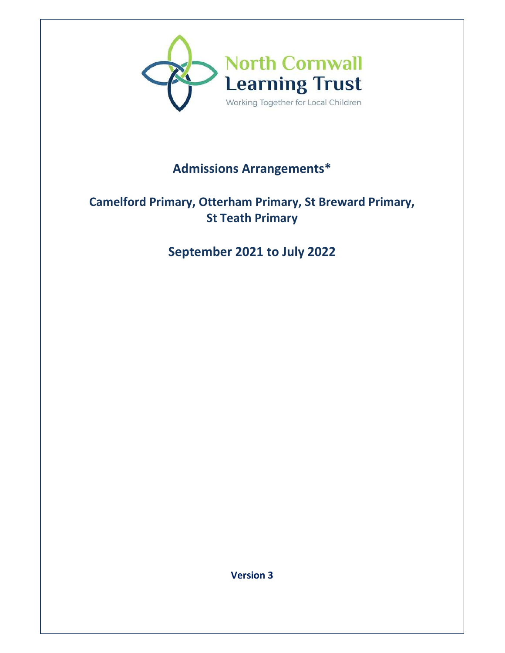

# **Admissions Arrangements\***

### **Camelford Primary, Otterham Primary, St Breward Primary, St Teath Primary**

## **September 2021 to July 2022**

**Version 3**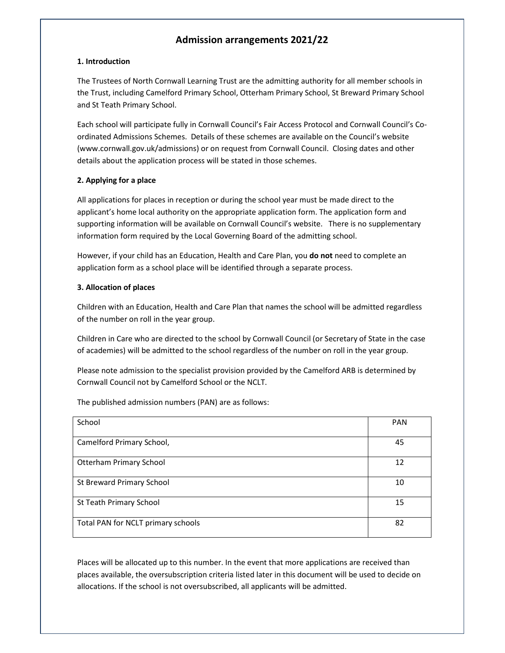### **Admission arrangements 2021/22**

#### **1. Introduction**

The Trustees of North Cornwall Learning Trust are the admitting authority for all member schools in the Trust, including Camelford Primary School, Otterham Primary School, St Breward Primary School and St Teath Primary School.

Each school will participate fully in Cornwall Council's Fair Access Protocol and Cornwall Council's Coordinated Admissions Schemes. Details of these schemes are available on the Council's website (www.cornwall.gov.uk/admissions) or on request from Cornwall Council. Closing dates and other details about the application process will be stated in those schemes.

#### **2. Applying for a place**

All applications for places in reception or during the school year must be made direct to the applicant's home local authority on the appropriate application form. The application form and supporting information will be available on Cornwall Council's website. There is no supplementary information form required by the Local Governing Board of the admitting school.

However, if your child has an Education, Health and Care Plan, you **do not** need to complete an application form as a school place will be identified through a separate process.

#### **3. Allocation of places**

Children with an Education, Health and Care Plan that names the school will be admitted regardless of the number on roll in the year group.

Children in Care who are directed to the school by Cornwall Council (or Secretary of State in the case of academies) will be admitted to the school regardless of the number on roll in the year group.

Please note admission to the specialist provision provided by the Camelford ARB is determined by Cornwall Council not by Camelford School or the NCLT.

The published admission numbers (PAN) are as follows:

| School                             | <b>PAN</b> |
|------------------------------------|------------|
|                                    |            |
| Camelford Primary School,          | 45         |
|                                    |            |
| <b>Otterham Primary School</b>     | 12         |
|                                    |            |
| <b>St Breward Primary School</b>   | 10         |
|                                    |            |
| St Teath Primary School            | 15         |
|                                    |            |
| Total PAN for NCLT primary schools | 82         |
|                                    |            |

Places will be allocated up to this number. In the event that more applications are received than places available, the oversubscription criteria listed later in this document will be used to decide on allocations. If the school is not oversubscribed, all applicants will be admitted.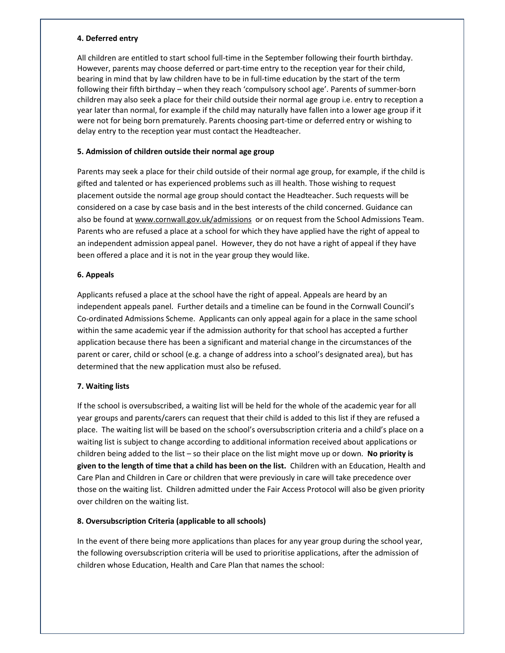#### **4. Deferred entry**

All children are entitled to start school full-time in the September following their fourth birthday. However, parents may choose deferred or part-time entry to the reception year for their child, bearing in mind that by law children have to be in full-time education by the start of the term following their fifth birthday – when they reach 'compulsory school age'. Parents of summer-born children may also seek a place for their child outside their normal age group i.e. entry to reception a year later than normal, for example if the child may naturally have fallen into a lower age group if it were not for being born prematurely. Parents choosing part-time or deferred entry or wishing to delay entry to the reception year must contact the Headteacher.

#### **5. Admission of children outside their normal age group**

Parents may seek a place for their child outside of their normal age group, for example, if the child is gifted and talented or has experienced problems such as ill health. Those wishing to request placement outside the normal age group should contact the Headteacher. Such requests will be considered on a case by case basis and in the best interests of the child concerned. Guidance can also be found at www.cornwall.gov.uk/admissions or on request from the School Admissions Team. Parents who are refused a place at a school for which they have applied have the right of appeal to an independent admission appeal panel. However, they do not have a right of appeal if they have been offered a place and it is not in the year group they would like.

#### **6. Appeals**

Applicants refused a place at the school have the right of appeal. Appeals are heard by an independent appeals panel. Further details and a timeline can be found in the Cornwall Council's Co-ordinated Admissions Scheme. Applicants can only appeal again for a place in the same school within the same academic year if the admission authority for that school has accepted a further application because there has been a significant and material change in the circumstances of the parent or carer, child or school (e.g. a change of address into a school's designated area), but has determined that the new application must also be refused.

#### **7. Waiting lists**

If the school is oversubscribed, a waiting list will be held for the whole of the academic year for all year groups and parents/carers can request that their child is added to this list if they are refused a place. The waiting list will be based on the school's oversubscription criteria and a child's place on a waiting list is subject to change according to additional information received about applications or children being added to the list – so their place on the list might move up or down. **No priority is given to the length of time that a child has been on the list.** Children with an Education, Health and Care Plan and Children in Care or children that were previously in care will take precedence over those on the waiting list. Children admitted under the Fair Access Protocol will also be given priority over children on the waiting list.

#### **8. Oversubscription Criteria (applicable to all schools)**

In the event of there being more applications than places for any year group during the school year, the following oversubscription criteria will be used to prioritise applications, after the admission of children whose Education, Health and Care Plan that names the school: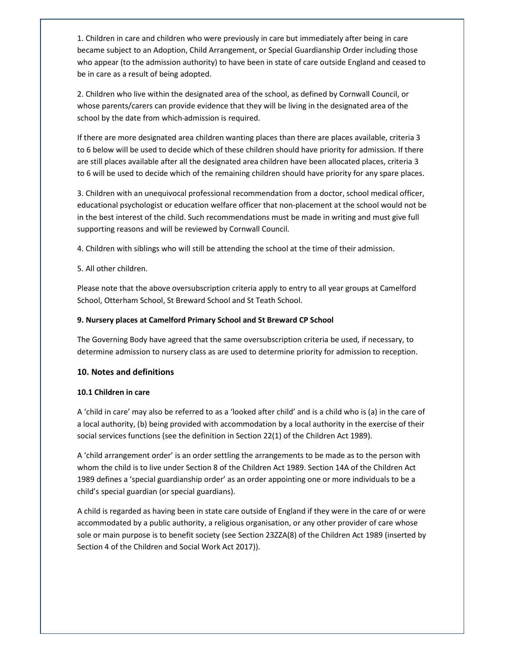1. Children in care and children who were previously in care but immediately after being in care became subject to an Adoption, Child Arrangement, or Special Guardianship Order including those who appear (to the admission authority) to have been in state of care outside England and ceased to be in care as a result of being adopted.

2. Children who live within the designated area of the school, as defined by Cornwall Council, or whose parents/carers can provide evidence that they will be living in the designated area of the school by the date from which admission is required.

If there are more designated area children wanting places than there are places available, criteria 3 to 6 below will be used to decide which of these children should have priority for admission. If there are still places available after all the designated area children have been allocated places, criteria 3 to 6 will be used to decide which of the remaining children should have priority for any spare places.

3. Children with an unequivocal professional recommendation from a doctor, school medical officer, educational psychologist or education welfare officer that non-placement at the school would not be in the best interest of the child. Such recommendations must be made in writing and must give full supporting reasons and will be reviewed by Cornwall Council.

4. Children with siblings who will still be attending the school at the time of their admission.

5. All other children.

Please note that the above oversubscription criteria apply to entry to all year groups at Camelford School, Otterham School, St Breward School and St Teath School.

#### **9. Nursery places at Camelford Primary School and St Breward CP School**

The Governing Body have agreed that the same oversubscription criteria be used, if necessary, to determine admission to nursery class as are used to determine priority for admission to reception.

#### **10. Notes and definitions**

#### **10.1 Children in care**

A 'child in care' may also be referred to as a 'looked after child' and is a child who is (a) in the care of a local authority, (b) being provided with accommodation by a local authority in the exercise of their social services functions (see the definition in Section 22(1) of the Children Act 1989).

A 'child arrangement order' is an order settling the arrangements to be made as to the person with whom the child is to live under Section 8 of the Children Act 1989. Section 14A of the Children Act 1989 defines a 'special guardianship order' as an order appointing one or more individuals to be a child's special guardian (or special guardians).

A child is regarded as having been in state care outside of England if they were in the care of or were accommodated by a public authority, a religious organisation, or any other provider of care whose sole or main purpose is to benefit society (see Section 23ZZA(8) of the Children Act 1989 (inserted by Section 4 of the Children and Social Work Act 2017)).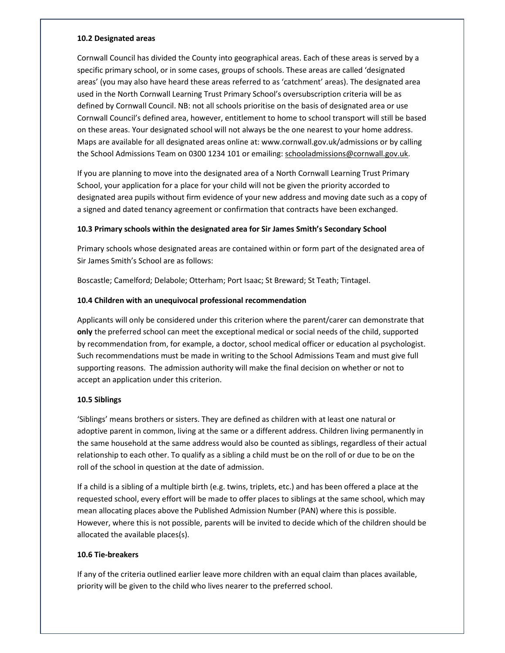#### **10.2 Designated areas**

Cornwall Council has divided the County into geographical areas. Each of these areas is served by a specific primary school, or in some cases, groups of schools. These areas are called 'designated areas' (you may also have heard these areas referred to as 'catchment' areas). The designated area used in the North Cornwall Learning Trust Primary School's oversubscription criteria will be as defined by Cornwall Council. NB: not all schools prioritise on the basis of designated area or use Cornwall Council's defined area, however, entitlement to home to school transport will still be based on these areas. Your designated school will not always be the one nearest to your home address. Maps are available for all designated areas online at: www.cornwall.gov.uk/admissions or by calling the School Admissions Team on 0300 1234 101 or emailing: schooladmissions@cornwall.gov.uk.

If you are planning to move into the designated area of a North Cornwall Learning Trust Primary School, your application for a place for your child will not be given the priority accorded to designated area pupils without firm evidence of your new address and moving date such as a copy of a signed and dated tenancy agreement or confirmation that contracts have been exchanged.

#### **10.3 Primary schools within the designated area for Sir James Smith's Secondary School**

Primary schools whose designated areas are contained within or form part of the designated area of Sir James Smith's School are as follows:

Boscastle; Camelford; Delabole; Otterham; Port Isaac; St Breward; St Teath; Tintagel.

#### **10.4 Children with an unequivocal professional recommendation**

Applicants will only be considered under this criterion where the parent/carer can demonstrate that **only** the preferred school can meet the exceptional medical or social needs of the child, supported by recommendation from, for example, a doctor, school medical officer or education al psychologist. Such recommendations must be made in writing to the School Admissions Team and must give full supporting reasons. The admission authority will make the final decision on whether or not to accept an application under this criterion.

#### **10.5 Siblings**

'Siblings' means brothers or sisters. They are defined as children with at least one natural or adoptive parent in common, living at the same or a different address. Children living permanently in the same household at the same address would also be counted as siblings, regardless of their actual relationship to each other. To qualify as a sibling a child must be on the roll of or due to be on the roll of the school in question at the date of admission.

If a child is a sibling of a multiple birth (e.g. twins, triplets, etc.) and has been offered a place at the requested school, every effort will be made to offer places to siblings at the same school, which may mean allocating places above the Published Admission Number (PAN) where this is possible. However, where this is not possible, parents will be invited to decide which of the children should be allocated the available places(s).

#### **10.6 Tie-breakers**

If any of the criteria outlined earlier leave more children with an equal claim than places available, priority will be given to the child who lives nearer to the preferred school.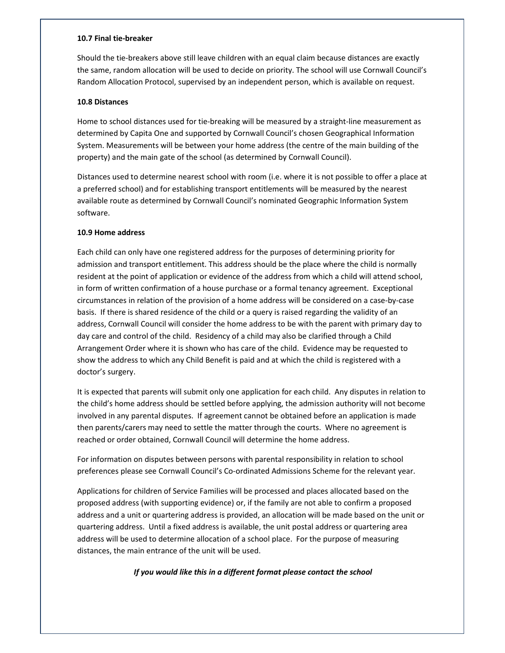#### **10.7 Final tie-breaker**

Should the tie-breakers above still leave children with an equal claim because distances are exactly the same, random allocation will be used to decide on priority. The school will use Cornwall Council's Random Allocation Protocol, supervised by an independent person, which is available on request.

#### **10.8 Distances**

Home to school distances used for tie-breaking will be measured by a straight-line measurement as determined by Capita One and supported by Cornwall Council's chosen Geographical Information System. Measurements will be between your home address (the centre of the main building of the property) and the main gate of the school (as determined by Cornwall Council).

Distances used to determine nearest school with room (i.e. where it is not possible to offer a place at a preferred school) and for establishing transport entitlements will be measured by the nearest available route as determined by Cornwall Council's nominated Geographic Information System software.

#### **10.9 Home address**

Each child can only have one registered address for the purposes of determining priority for admission and transport entitlement. This address should be the place where the child is normally resident at the point of application or evidence of the address from which a child will attend school, in form of written confirmation of a house purchase or a formal tenancy agreement. Exceptional circumstances in relation of the provision of a home address will be considered on a case-by-case basis. If there is shared residence of the child or a query is raised regarding the validity of an address, Cornwall Council will consider the home address to be with the parent with primary day to day care and control of the child. Residency of a child may also be clarified through a Child Arrangement Order where it is shown who has care of the child. Evidence may be requested to show the address to which any Child Benefit is paid and at which the child is registered with a doctor's surgery.

It is expected that parents will submit only one application for each child. Any disputes in relation to the child's home address should be settled before applying, the admission authority will not become involved in any parental disputes. If agreement cannot be obtained before an application is made then parents/carers may need to settle the matter through the courts. Where no agreement is reached or order obtained, Cornwall Council will determine the home address.

For information on disputes between persons with parental responsibility in relation to school preferences please see Cornwall Council's Co-ordinated Admissions Scheme for the relevant year.

Applications for children of Service Families will be processed and places allocated based on the proposed address (with supporting evidence) or, if the family are not able to confirm a proposed address and a unit or quartering address is provided, an allocation will be made based on the unit or quartering address. Until a fixed address is available, the unit postal address or quartering area address will be used to determine allocation of a school place. For the purpose of measuring distances, the main entrance of the unit will be used.

*If you would like this in a different format please contact the school*